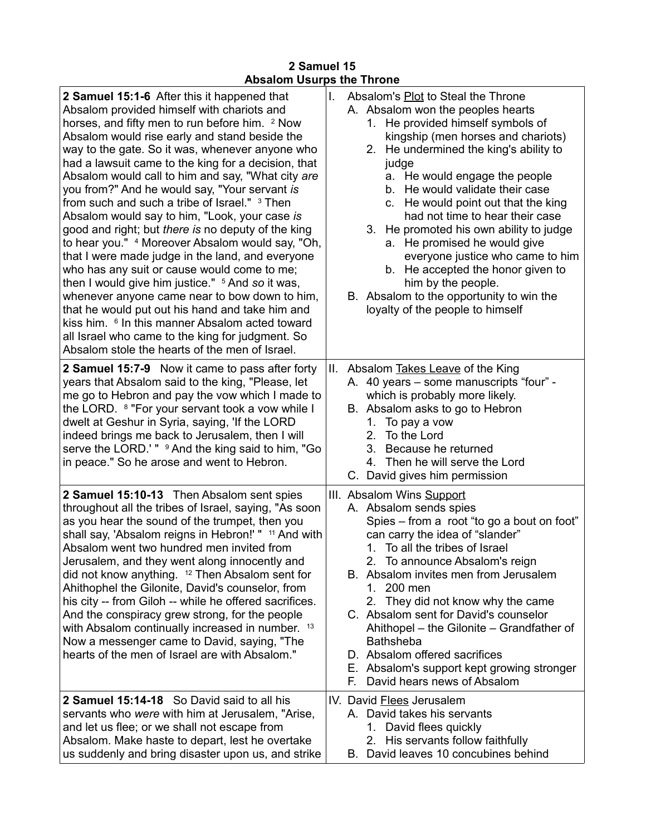## **2 Samuel 15 Absalom Usurps the Throne**

| 2 Samuel 15:1-6 After this it happened that<br>Absalom provided himself with chariots and<br>horses, and fifty men to run before him. <sup>2</sup> Now<br>Absalom would rise early and stand beside the<br>way to the gate. So it was, whenever anyone who<br>had a lawsuit came to the king for a decision, that<br>Absalom would call to him and say, "What city are<br>you from?" And he would say, "Your servant is<br>from such and such a tribe of Israel." 3 Then<br>Absalom would say to him, "Look, your case is<br>good and right; but there is no deputy of the king<br>to hear you." 4 Moreover Absalom would say, "Oh,<br>that I were made judge in the land, and everyone<br>who has any suit or cause would come to me;<br>then I would give him justice." <sup>5</sup> And so it was,<br>whenever anyone came near to bow down to him,<br>that he would put out his hand and take him and<br>kiss him. <sup>6</sup> In this manner Absalom acted toward<br>all Israel who came to the king for judgment. So<br>Absalom stole the hearts of the men of Israel. | Absalom's Plot to Steal the Throne<br>L.<br>A. Absalom won the peoples hearts<br>1. He provided himself symbols of<br>kingship (men horses and chariots)<br>2. He undermined the king's ability to<br>judge<br>He would engage the people<br>a.<br>b. He would validate their case<br>c. He would point out that the king<br>had not time to hear their case<br>3. He promoted his own ability to judge<br>a. He promised he would give<br>everyone justice who came to him<br>b. He accepted the honor given to<br>him by the people.<br>B. Absalom to the opportunity to win the<br>loyalty of the people to himself |
|-------------------------------------------------------------------------------------------------------------------------------------------------------------------------------------------------------------------------------------------------------------------------------------------------------------------------------------------------------------------------------------------------------------------------------------------------------------------------------------------------------------------------------------------------------------------------------------------------------------------------------------------------------------------------------------------------------------------------------------------------------------------------------------------------------------------------------------------------------------------------------------------------------------------------------------------------------------------------------------------------------------------------------------------------------------------------------|------------------------------------------------------------------------------------------------------------------------------------------------------------------------------------------------------------------------------------------------------------------------------------------------------------------------------------------------------------------------------------------------------------------------------------------------------------------------------------------------------------------------------------------------------------------------------------------------------------------------|
| 2 Samuel 15:7-9 Now it came to pass after forty<br>years that Absalom said to the king, "Please, let<br>me go to Hebron and pay the vow which I made to<br>the LORD. <sup>8</sup> "For your servant took a vow while I<br>dwelt at Geshur in Syria, saying, 'If the LORD<br>indeed brings me back to Jerusalem, then I will<br>serve the LORD.'" <sup>9</sup> And the king said to him, "Go<br>in peace." So he arose and went to Hebron.                                                                                                                                                                                                                                                                                                                                                                                                                                                                                                                                                                                                                                     | II. Absalom Takes Leave of the King<br>A. 40 years - some manuscripts "four" -<br>which is probably more likely.<br>B. Absalom asks to go to Hebron<br>To pay a vow<br>1.<br>To the Lord<br>$2_{1}$<br>3. Because he returned<br>4. Then he will serve the Lord<br>C. David gives him permission                                                                                                                                                                                                                                                                                                                       |
| 2 Samuel 15:10-13 Then Absalom sent spies<br>throughout all the tribes of Israel, saying, "As soon<br>as you hear the sound of the trumpet, then you<br>shall say, 'Absalom reigns in Hebron!' " <sup>11</sup> And with<br>Absalom went two hundred men invited from<br>Jerusalem, and they went along innocently and<br>did not know anything. <sup>12</sup> Then Absalom sent for<br>Ahithophel the Gilonite, David's counselor, from<br>his city -- from Giloh -- while he offered sacrifices.<br>And the conspiracy grew strong, for the people<br>with Absalom continually increased in number. 13<br>Now a messenger came to David, saying, "The<br>hearts of the men of Israel are with Absalom."                                                                                                                                                                                                                                                                                                                                                                      | III. Absalom Wins Support<br>A. Absalom sends spies<br>Spies – from a root "to go a bout on foot"<br>can carry the idea of "slander"<br>1. To all the tribes of Israel<br>2. To announce Absalom's reign<br>B. Absalom invites men from Jerusalem<br>1. 200 men<br>They did not know why the came<br>2.<br>C. Absalom sent for David's counselor<br>Ahithopel – the Gilonite – Grandfather of<br><b>Bathsheba</b><br>D. Absalom offered sacrifices<br>E. Absalom's support kept growing stronger<br>David hears news of Absalom<br>Е.                                                                                  |
| 2 Samuel 15:14-18 So David said to all his<br>servants who were with him at Jerusalem, "Arise,<br>and let us flee; or we shall not escape from<br>Absalom. Make haste to depart, lest he overtake<br>us suddenly and bring disaster upon us, and strike                                                                                                                                                                                                                                                                                                                                                                                                                                                                                                                                                                                                                                                                                                                                                                                                                       | IV. David Flees Jerusalem<br>A. David takes his servants<br>1. David flees quickly<br>His servants follow faithfully<br>2.<br>B. David leaves 10 concubines behind                                                                                                                                                                                                                                                                                                                                                                                                                                                     |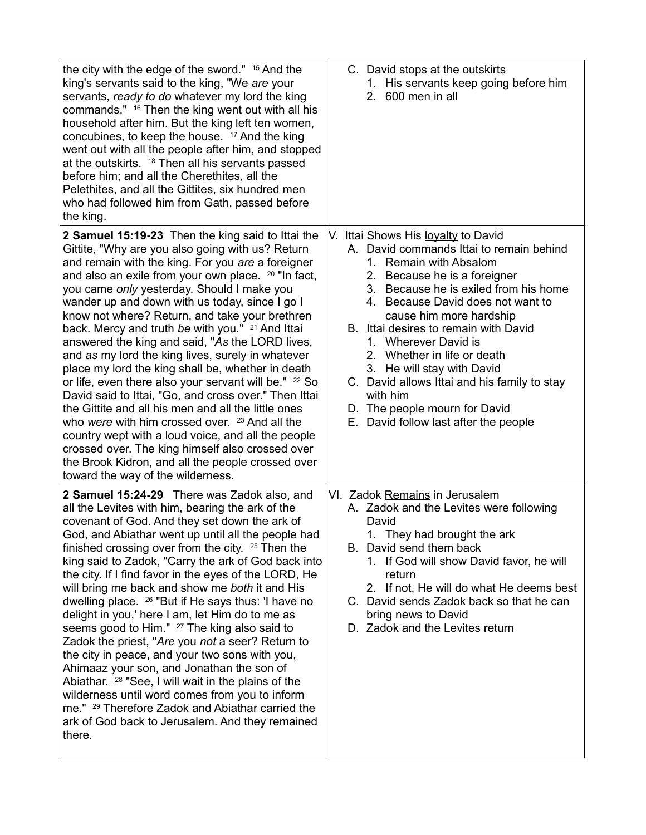| the city with the edge of the sword." 15 And the<br>king's servants said to the king, "We are your<br>servants, ready to do whatever my lord the king<br>commands." <sup>16</sup> Then the king went out with all his<br>household after him. But the king left ten women,<br>concubines, to keep the house. <sup>17</sup> And the king<br>went out with all the people after him, and stopped<br>at the outskirts. <sup>18</sup> Then all his servants passed<br>before him; and all the Cherethites, all the<br>Pelethites, and all the Gittites, six hundred men<br>who had followed him from Gath, passed before<br>the king.                                                                                                                                                                                                                                                                                                                                                                                                                    | C. David stops at the outskirts<br>1. His servants keep going before him<br>2.<br>600 men in all                                                                                                                                                                                                                                                                                                                                                                                                                       |
|------------------------------------------------------------------------------------------------------------------------------------------------------------------------------------------------------------------------------------------------------------------------------------------------------------------------------------------------------------------------------------------------------------------------------------------------------------------------------------------------------------------------------------------------------------------------------------------------------------------------------------------------------------------------------------------------------------------------------------------------------------------------------------------------------------------------------------------------------------------------------------------------------------------------------------------------------------------------------------------------------------------------------------------------------|------------------------------------------------------------------------------------------------------------------------------------------------------------------------------------------------------------------------------------------------------------------------------------------------------------------------------------------------------------------------------------------------------------------------------------------------------------------------------------------------------------------------|
| 2 Samuel 15:19-23 Then the king said to Ittai the<br>Gittite, "Why are you also going with us? Return<br>and remain with the king. For you are a foreigner<br>and also an exile from your own place. <sup>20</sup> "In fact,<br>you came only yesterday. Should I make you<br>wander up and down with us today, since I go I<br>know not where? Return, and take your brethren<br>back. Mercy and truth be with you." <sup>21</sup> And Ittai<br>answered the king and said, "As the LORD lives,<br>and as my lord the king lives, surely in whatever<br>place my lord the king shall be, whether in death<br>or life, even there also your servant will be." <sup>22</sup> So<br>David said to Ittai, "Go, and cross over." Then Ittai<br>the Gittite and all his men and all the little ones<br>who were with him crossed over. 23 And all the<br>country wept with a loud voice, and all the people<br>crossed over. The king himself also crossed over<br>the Brook Kidron, and all the people crossed over<br>toward the way of the wilderness. | V. Ittai Shows His loyalty to David<br>A. David commands Ittai to remain behind<br>1. Remain with Absalom<br>2. Because he is a foreigner<br>3. Because he is exiled from his home<br>4. Because David does not want to<br>cause him more hardship<br>B. Ittai desires to remain with David<br>1. Wherever David is<br>2. Whether in life or death<br>3. He will stay with David<br>C. David allows Ittai and his family to stay<br>with him<br>D. The people mourn for David<br>E. David follow last after the people |
| 2 Samuel 15:24-29 There was Zadok also, and<br>all the Levites with him, bearing the ark of the<br>covenant of God. And they set down the ark of<br>God, and Abiathar went up until all the people had<br>finished crossing over from the city. <sup>25</sup> Then the<br>king said to Zadok, "Carry the ark of God back into<br>the city. If I find favor in the eyes of the LORD, He<br>will bring me back and show me both it and His<br>dwelling place. <sup>26</sup> "But if He says thus: 'I have no<br>delight in you,' here I am, let Him do to me as<br>seems good to Him." <sup>27</sup> The king also said to<br>Zadok the priest, "Are you not a seer? Return to<br>the city in peace, and your two sons with you,<br>Ahimaaz your son, and Jonathan the son of<br>Abiathar. <sup>28</sup> "See, I will wait in the plains of the<br>wilderness until word comes from you to inform<br>me." <sup>29</sup> Therefore Zadok and Abiathar carried the<br>ark of God back to Jerusalem. And they remained<br>there.                          | VI. Zadok Remains in Jerusalem<br>A. Zadok and the Levites were following<br>David<br>1. They had brought the ark<br>B. David send them back<br>1. If God will show David favor, he will<br>return<br>2. If not, He will do what He deems best<br>C. David sends Zadok back so that he can<br>bring news to David<br>D. Zadok and the Levites return                                                                                                                                                                   |